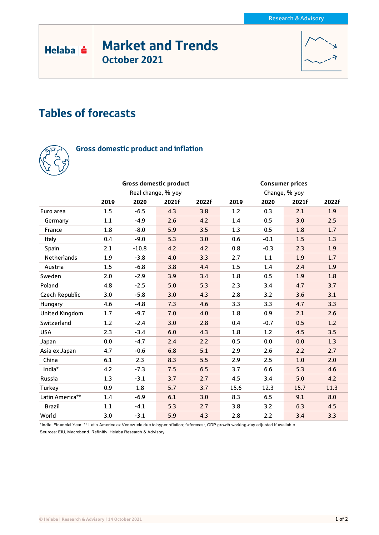# Market and Trends October 2021



## Tables of forecasts



 $Helaba| \dot{S}$ 

### Gross domestic product and inflation

|                       |                    | <b>Gross domestic product</b> |       |       | <b>Consumer prices</b> |        |       |       |
|-----------------------|--------------------|-------------------------------|-------|-------|------------------------|--------|-------|-------|
|                       | Real change, % yoy |                               |       |       | Change, % yoy          |        |       |       |
|                       | 2019               | 2020                          | 2021f | 2022f | 2019                   | 2020   | 2021f | 2022f |
| Euro area             | 1.5                | $-6.5$                        | 4.3   | 3.8   | 1.2                    | 0.3    | 2.1   | 1.9   |
| Germany               | 1.1                | $-4.9$                        | 2.6   | 4.2   | 1.4                    | 0.5    | 3.0   | 2.5   |
| France                | 1.8                | $-8.0$                        | 5.9   | 3.5   | 1.3                    | 0.5    | 1.8   | 1.7   |
| Italy                 | 0.4                | $-9.0$                        | 5.3   | 3.0   | 0.6                    | $-0.1$ | 1.5   | 1.3   |
| Spain                 | 2.1                | $-10.8$                       | 4.2   | 4.2   | 0.8                    | $-0.3$ | 2.3   | 1.9   |
| Netherlands           | 1.9                | $-3.8$                        | 4.0   | 3.3   | 2.7                    | 1.1    | 1.9   | 1.7   |
| Austria               | 1.5                | $-6.8$                        | 3.8   | 4.4   | 1.5                    | 1.4    | 2.4   | 1.9   |
| Sweden                | 2.0                | $-2.9$                        | 3.9   | 3.4   | 1.8                    | 0.5    | 1.9   | 1.8   |
| Poland                | 4.8                | $-2.5$                        | 5.0   | 5.3   | 2.3                    | 3.4    | 4.7   | 3.7   |
| Czech Republic        | 3.0                | $-5.8$                        | 3.0   | 4.3   | 2.8                    | 3.2    | 3.6   | 3.1   |
| Hungary               | 4.6                | $-4.8$                        | 7.3   | 4.6   | 3.3                    | 3.3    | 4.7   | 3.3   |
| <b>United Kingdom</b> | 1.7                | $-9.7$                        | 7.0   | 4.0   | 1.8                    | 0.9    | 2.1   | 2.6   |
| Switzerland           | 1.2                | $-2.4$                        | 3.0   | 2.8   | 0.4                    | $-0.7$ | 0.5   | 1.2   |
| <b>USA</b>            | 2.3                | $-3.4$                        | 6.0   | 4.3   | 1.8                    | 1.2    | 4.5   | 3.5   |
| Japan                 | 0.0                | $-4.7$                        | 2.4   | 2.2   | 0.5                    | 0.0    | 0.0   | 1.3   |
| Asia ex Japan         | 4.7                | $-0.6$                        | 6.8   | 5.1   | 2.9                    | 2.6    | 2.2   | 2.7   |
| China                 | 6.1                | 2.3                           | 8.3   | 5.5   | 2.9                    | 2.5    | 1.0   | 2.0   |
| India*                | 4.2                | $-7.3$                        | 7.5   | 6.5   | 3.7                    | 6.6    | 5.3   | 4.6   |
| Russia                | 1.3                | $-3.1$                        | 3.7   | 2.7   | 4.5                    | 3.4    | 5.0   | 4.2   |
| Turkey                | 0.9                | 1.8                           | 5.7   | 3.7   | 15.6                   | 12.3   | 15.7  | 11.3  |
| Latin America**       | 1.4                | $-6.9$                        | 6.1   | 3.0   | 8.3                    | 6.5    | 9.1   | 8.0   |
| <b>Brazil</b>         | 1.1                | $-4.1$                        | 5.3   | 2.7   | 3.8                    | 3.2    | 6.3   | 4.5   |
| World                 | 3.0                | $-3.1$                        | 5.9   | 4.3   | 2.8                    | 2.2    | 3.4   | 3.3   |

\*India: Financial Year; \*\* Latin America ex Venezuela due to hyperinflation; f=forecast, GDP growth working-day adjusted if available

Sources: EIU, Macrobond, Refinitiv, Helaba Research & Advisory